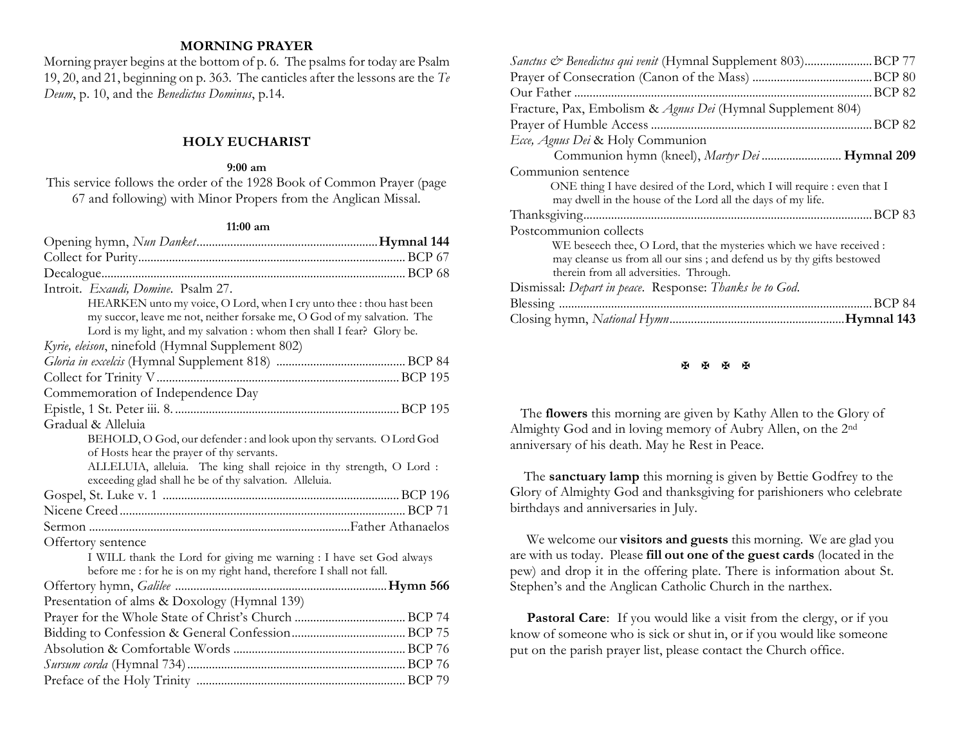## **MORNING PRAYER**

Morning prayer begins at the bottom of p. 6. The psalms for today are Psalm 19, 20, and 21, beginning on p. 363. The canticles after the lessons are the *Te Deum*, p. 10, and the *Benedictus Dominus*, p.14.

### **HOLY EUCHARIST**

#### **9:00 am**

This service follows the order of the 1928 Book of Common Prayer (page 67 and following) with Minor Propers from the Anglican Missal.

#### **11:00 am**

| Introit. Exaudi, Domine. Psalm 27.                                                                                             |  |
|--------------------------------------------------------------------------------------------------------------------------------|--|
| HEARKEN unto my voice, O Lord, when I cry unto thee : thou hast been                                                           |  |
| my succor, leave me not, neither forsake me, O God of my salvation. The                                                        |  |
| Lord is my light, and my salvation : whom then shall I fear? Glory be.                                                         |  |
| Kyrie, eleison, ninefold (Hymnal Supplement 802)                                                                               |  |
|                                                                                                                                |  |
|                                                                                                                                |  |
| Commemoration of Independence Day                                                                                              |  |
|                                                                                                                                |  |
| Gradual & Alleluia                                                                                                             |  |
| BEHOLD, O God, our defender : and look upon thy servants. O Lord God                                                           |  |
| of Hosts hear the prayer of thy servants.                                                                                      |  |
| ALLELUIA, alleluia. The king shall rejoice in thy strength, O Lord :<br>exceeding glad shall he be of thy salvation. Alleluia. |  |
|                                                                                                                                |  |
|                                                                                                                                |  |
|                                                                                                                                |  |
| Offertory sentence                                                                                                             |  |
| I WILL thank the Lord for giving me warning : I have set God always                                                            |  |
| before me : for he is on my right hand, therefore I shall not fall.                                                            |  |
|                                                                                                                                |  |
| Presentation of alms & Doxology (Hymnal 139)                                                                                   |  |
|                                                                                                                                |  |
|                                                                                                                                |  |
|                                                                                                                                |  |
|                                                                                                                                |  |
|                                                                                                                                |  |

| Sanctus & Benedictus qui venit (Hymnal Supplement 803)BCP 77             |               |
|--------------------------------------------------------------------------|---------------|
|                                                                          |               |
| Our Father                                                               | <b>BCP 82</b> |
| Fracture, Pax, Embolism & Agnus Dei (Hymnal Supplement 804)              |               |
|                                                                          |               |
| Ecce, Agnus Dei & Holy Communion                                         |               |
| Communion hymn (kneel), Martyr Dei  Hymnal 209                           |               |
| Communion sentence                                                       |               |
| ONE thing I have desired of the Lord, which I will require : even that I |               |
| may dwell in the house of the Lord all the days of my life.              |               |
|                                                                          |               |
| Postcommunion collects                                                   |               |
| WE beseech thee, O Lord, that the mysteries which we have received :     |               |
| may cleanse us from all our sins; and defend us by thy gifts bestowed    |               |
| therein from all adversities. Through.                                   |               |
| Dismissal: Depart in peace. Response: Thanks be to God.                  |               |
|                                                                          | .BCP 84       |
|                                                                          |               |
|                                                                          |               |

**H H H H** 

 The **flowers** this morning are given by Kathy Allen to the Glory of Almighty God and in loving memory of Aubry Allen, on the 2nd anniversary of his death. May he Rest in Peace.

 The **sanctuary lamp** this morning is given by Bettie Godfrey to the Glory of Almighty God and thanksgiving for parishioners who celebrate birthdays and anniversaries in July.

We welcome our **visitors and guests** this morning. We are glad you are with us today. Please **fill out one of the guest cards** (located in the pew) and drop it in the offering plate. There is information about St. Stephen's and the Anglican Catholic Church in the narthex.

Pastoral Care: If you would like a visit from the clergy, or if you know of someone who is sick or shut in, or if you would like someone put on the parish prayer list, please contact the Church office.